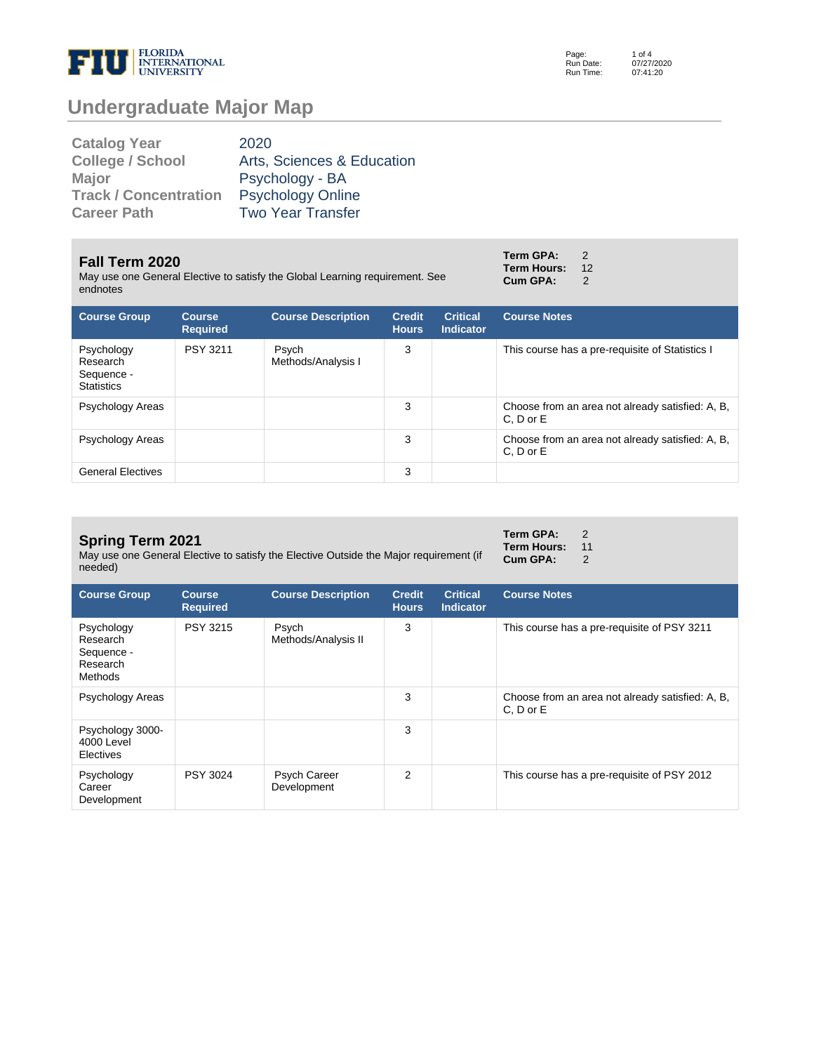

Page: Run Date: Run Time: 1 of 4 07/27/2020 07:41:20

# **Undergraduate Major Map**

| <b>Catalog Year</b>          | 2020                       |
|------------------------------|----------------------------|
| <b>College / School</b>      | Arts, Sciences & Education |
| <b>Major</b>                 | Psychology - BA            |
| <b>Track / Concentration</b> | <b>Psychology Online</b>   |
| <b>Career Path</b>           | <b>Two Year Transfer</b>   |

#### **Fall Term 2020**

May use one General Elective to satisfy the Global Learning requirement. See endnotes

| <b>Course Group</b>                                       | <b>Course</b><br><b>Required</b> | <b>Course Description</b>   | <b>Credit</b><br><b>Hours</b> | <b>Critical</b><br>Indicator | <b>Course Notes</b>                                               |
|-----------------------------------------------------------|----------------------------------|-----------------------------|-------------------------------|------------------------------|-------------------------------------------------------------------|
| Psychology<br>Research<br>Sequence -<br><b>Statistics</b> | PSY 3211                         | Psych<br>Methods/Analysis I | 3                             |                              | This course has a pre-requisite of Statistics I                   |
| Psychology Areas                                          |                                  |                             | 3                             |                              | Choose from an area not already satisfied: A, B,<br>$C. D$ or $E$ |
| Psychology Areas                                          |                                  |                             | 3                             |                              | Choose from an area not already satisfied: A, B,<br>$C. D$ or $E$ |
| <b>General Electives</b>                                  |                                  |                             | 3                             |                              |                                                                   |

#### **Spring Term 2021**

May use one General Elective to satisfy the Elective Outside the Major requirement (if needed)

| <b>Course Group</b>                                         | <b>Course</b><br><b>Required</b> | <b>Course Description</b>    | <b>Credit</b><br><b>Hours</b> | <b>Critical</b><br><b>Indicator</b> | <b>Course Notes</b>                                               |
|-------------------------------------------------------------|----------------------------------|------------------------------|-------------------------------|-------------------------------------|-------------------------------------------------------------------|
| Psychology<br>Research<br>Sequence -<br>Research<br>Methods | PSY 3215                         | Psych<br>Methods/Analysis II | 3                             |                                     | This course has a pre-requisite of PSY 3211                       |
| Psychology Areas                                            |                                  |                              | 3                             |                                     | Choose from an area not already satisfied: A, B,<br>$C. D$ or $E$ |
| Psychology 3000-<br>4000 Level<br>Electives                 |                                  |                              | 3                             |                                     |                                                                   |
| Psychology<br>Career<br>Development                         | PSY 3024                         | Psych Career<br>Development  | 2                             |                                     | This course has a pre-requisite of PSY 2012                       |

| Term GPA:   | 2  |
|-------------|----|
| Term Hours: | 11 |
| Cum GPA:    | 2  |

**Term GPA:** 2 **Term Hours:** 12<br>**Cum GPA:** 2 **Cum GPA:**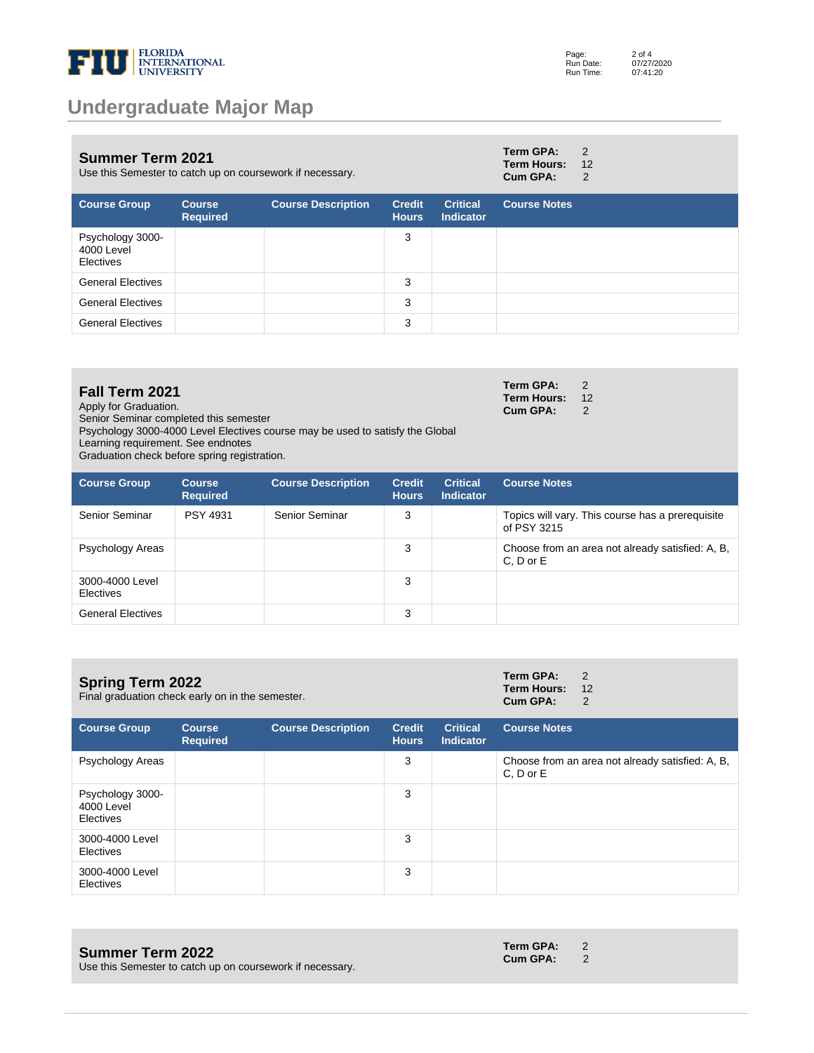

### **Undergraduate Major Map**

| <b>Summer Term 2021</b><br>Use this Semester to catch up on coursework if necessary. |                                  |                           |                               |                                     | Term GPA:<br><b>Term Hours:</b><br>Cum GPA: | 2<br>12<br>2 |
|--------------------------------------------------------------------------------------|----------------------------------|---------------------------|-------------------------------|-------------------------------------|---------------------------------------------|--------------|
| <b>Course Group</b>                                                                  | <b>Course</b><br><b>Required</b> | <b>Course Description</b> | <b>Credit</b><br><b>Hours</b> | <b>Critical</b><br><b>Indicator</b> | <b>Course Notes</b>                         |              |
| Psychology 3000-<br>4000 Level<br>Electives                                          |                                  |                           | 3                             |                                     |                                             |              |
| <b>General Electives</b>                                                             |                                  |                           | 3                             |                                     |                                             |              |
| <b>General Electives</b>                                                             |                                  |                           | 3                             |                                     |                                             |              |
| <b>General Electives</b>                                                             |                                  |                           | 3                             |                                     |                                             |              |

#### **Fall Term 2021**

Apply for Graduation.

Senior Seminar completed this semester

Psychology 3000-4000 Level Electives course may be used to satisfy the Global

Learning requirement. See endnotes

Graduation check before spring registration.

| <b>Course Group</b>                 | <b>Course</b><br><b>Required</b> | <b>Course Description</b> | <b>Credit</b><br><b>Hours</b> | <b>Critical</b><br><b>Indicator</b> | <b>Course Notes</b>                                               |
|-------------------------------------|----------------------------------|---------------------------|-------------------------------|-------------------------------------|-------------------------------------------------------------------|
| Senior Seminar                      | <b>PSY 4931</b>                  | Senior Seminar            | 3                             |                                     | Topics will vary. This course has a prerequisite<br>of PSY 3215   |
| Psychology Areas                    |                                  |                           | 3                             |                                     | Choose from an area not already satisfied: A, B,<br>$C. D$ or $E$ |
| 3000-4000 Level<br><b>Electives</b> |                                  |                           | 3                             |                                     |                                                                   |
| <b>General Electives</b>            |                                  |                           | 3                             |                                     |                                                                   |

|                                                  | <b>Term GPA:</b> 2    |  |
|--------------------------------------------------|-----------------------|--|
| <b>Spring Term 2022</b>                          | <b>Term Hours: 12</b> |  |
| Final graduation check early on in the semester. | Cum GPA:              |  |

| <b>Course Group</b>                         | <b>Course</b><br><b>Required</b> | <b>Course Description</b> | <b>Credit</b><br><b>Hours</b> | <b>Critical</b><br><b>Indicator</b> | <b>Course Notes</b>                                           |
|---------------------------------------------|----------------------------------|---------------------------|-------------------------------|-------------------------------------|---------------------------------------------------------------|
| Psychology Areas                            |                                  |                           | 3                             |                                     | Choose from an area not already satisfied: A, B,<br>C, D or E |
| Psychology 3000-<br>4000 Level<br>Electives |                                  |                           | 3                             |                                     |                                                               |
| 3000-4000 Level<br>Electives                |                                  |                           | 3                             |                                     |                                                               |
| 3000-4000 Level<br>Electives                |                                  |                           | 3                             |                                     |                                                               |

#### **Summer Term 2022**

**Term GPA:** 2 **Cum GPA:** 

**Term GPA:** 2 **Term Hours:** 12 **Cum GPA:** 2

Use this Semester to catch up on coursework if necessary.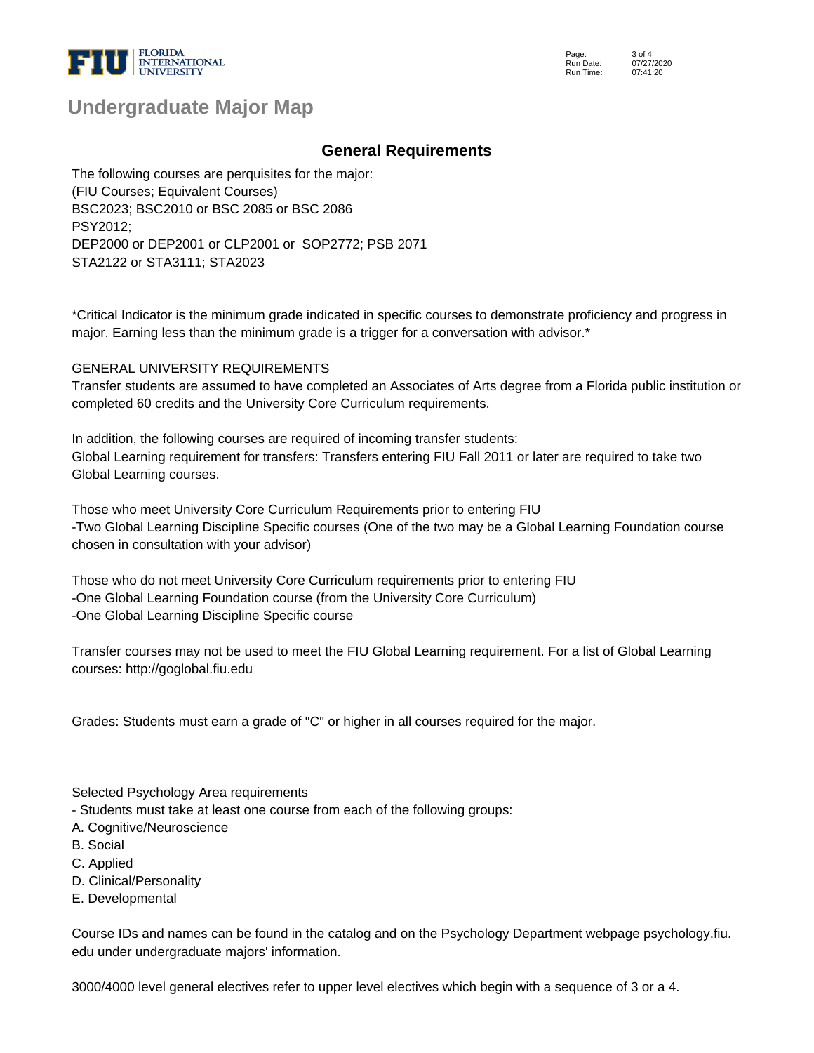

| <b>Undergraduate Major Map</b> |  |  |  |  |  |
|--------------------------------|--|--|--|--|--|
|--------------------------------|--|--|--|--|--|

#### **General Requirements**

The following courses are perquisites for the major: (FIU Courses; Equivalent Courses) BSC2023; BSC2010 or BSC 2085 or BSC 2086 PSY2012; DEP2000 or DEP2001 or CLP2001 or SOP2772; PSB 2071 STA2122 or STA3111; STA2023

\*Critical Indicator is the minimum grade indicated in specific courses to demonstrate proficiency and progress in major. Earning less than the minimum grade is a trigger for a conversation with advisor.\*

GENERAL UNIVERSITY REQUIREMENTS

Transfer students are assumed to have completed an Associates of Arts degree from a Florida public institution or completed 60 credits and the University Core Curriculum requirements.

In addition, the following courses are required of incoming transfer students: Global Learning requirement for transfers: Transfers entering FIU Fall 2011 or later are required to take two Global Learning courses.

Those who meet University Core Curriculum Requirements prior to entering FIU -Two Global Learning Discipline Specific courses (One of the two may be a Global Learning Foundation course chosen in consultation with your advisor)

Those who do not meet University Core Curriculum requirements prior to entering FIU -One Global Learning Foundation course (from the University Core Curriculum) -One Global Learning Discipline Specific course

Transfer courses may not be used to meet the FIU Global Learning requirement. For a list of Global Learning courses: http://goglobal.fiu.edu

Grades: Students must earn a grade of "C" or higher in all courses required for the major.

Selected Psychology Area requirements

- Students must take at least one course from each of the following groups:

- A. Cognitive/Neuroscience
- B. Social
- C. Applied
- D. Clinical/Personality
- E. Developmental

Course IDs and names can be found in the catalog and on the Psychology Department webpage psychology.fiu. edu under undergraduate majors' information.

3000/4000 level general electives refer to upper level electives which begin with a sequence of 3 or a 4.